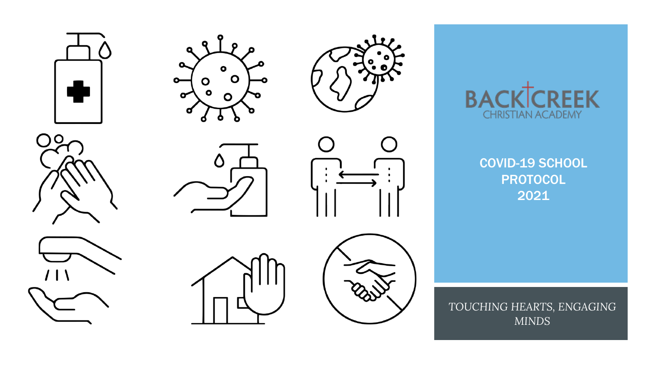















 $\bigcap$ 



COVID-19 SCHOOL PROTOCOL 2021

*TOUCHING HEARTS, ENGAGING MINDS*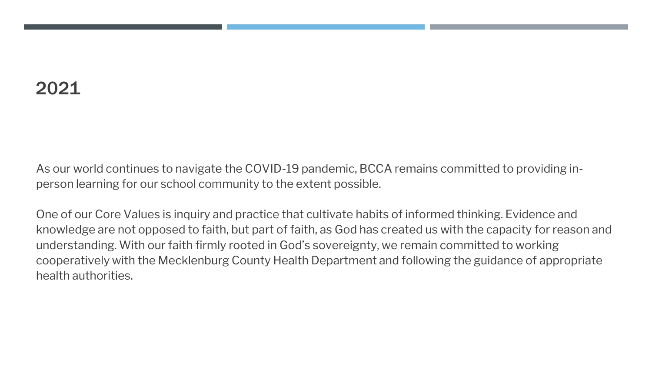### 2021

As our world continues to navigate the COVID-19 pandemic, BCCA remains committed to providing inperson learning for our school community to the extent possible.

One of our Core Values is inquiry and practice that cultivate habits of informed thinking. Evidence and knowledge are not opposed to faith, but part of faith, as God has created us with the capacity for reason and understanding. With our faith firmly rooted in God's sovereignty, we remain committed to working cooperatively with the Mecklenburg County Health Department and following the guidance of appropriate health authorities.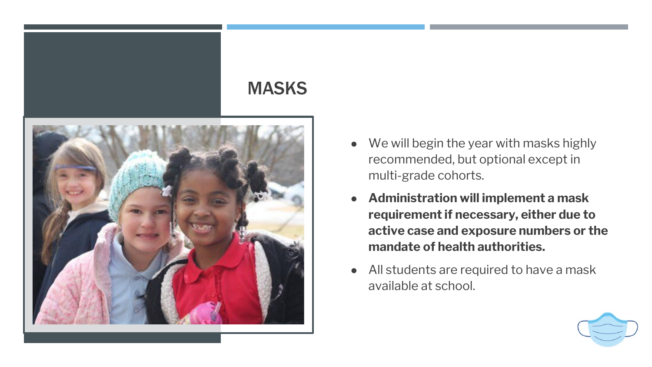#### MASKS



- We will begin the year with masks highly recommended, but optional except in multi-grade cohorts.
- **Administration will implement a mask requirement if necessary, either due to active case and exposure numbers or the mandate of health authorities.**
- All students are required to have a mask available at school.

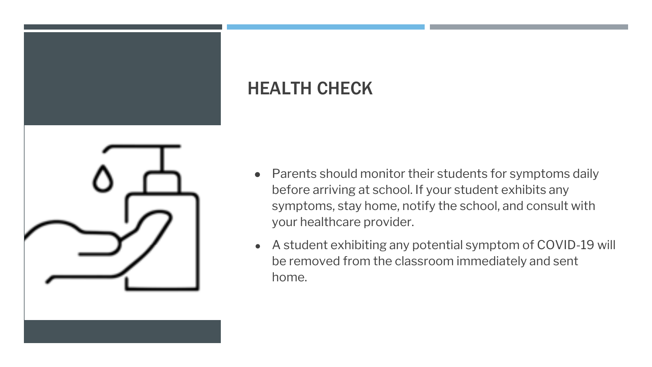

## HEALTH CHECK

- Parents should monitor their students for symptoms daily before arriving at school. If your student exhibits any symptoms, stay home, notify the school, and consult with your healthcare provider.
- A student exhibiting any potential symptom of COVID-19 will be removed from the classroom immediately and sent home.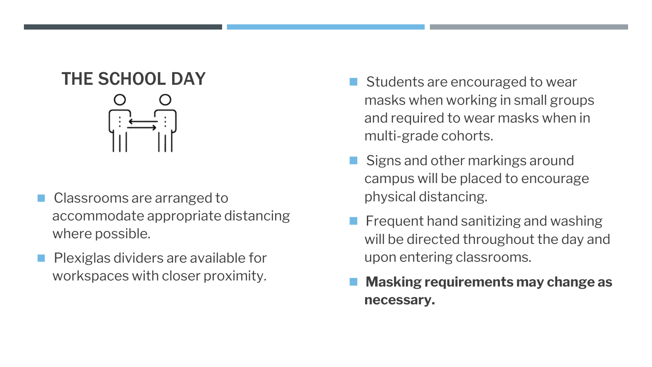# THE SCHOOL DAY

- Classrooms are arranged to accommodate appropriate distancing where possible.
- ◼ Plexiglas dividers are available for workspaces with closer proximity.
- Students are encouraged to wear masks when working in small groups and required to wear masks when in multi-grade cohorts.
- Signs and other markings around campus will be placed to encourage physical distancing.
- Frequent hand sanitizing and washing will be directed throughout the day and upon entering classrooms.
- ◼ **Masking requirements may change as necessary.**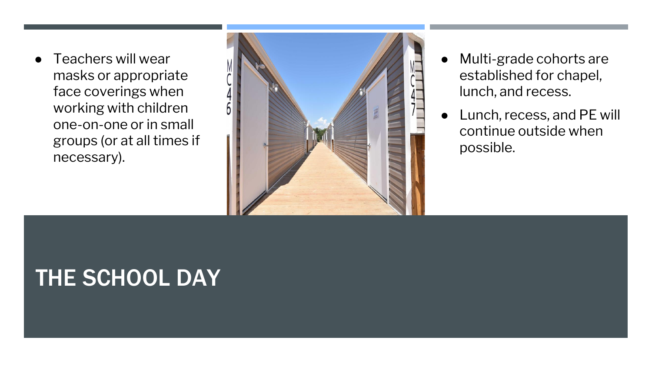Teachers will wear masks or appropriate face coverings when working with children one-on-one or in small groups (or at all times if necessary).



- Multi-grade cohorts are established for chapel, lunch, and recess.
- Lunch, recess, and PE will continue outside when possible.

# THE SCHOOL DAY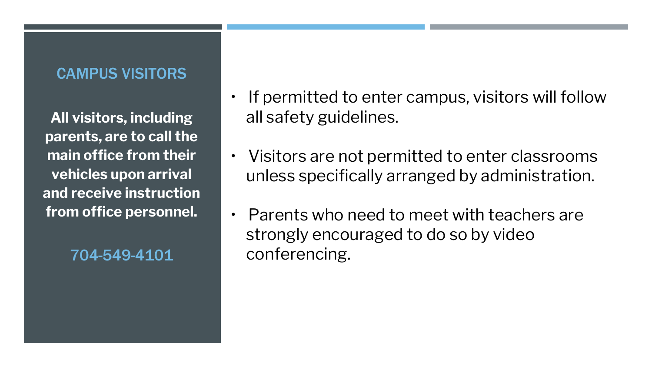#### CAMPUS VISITORS

**All visitors, including parents, are to call the main office from their vehicles upon arrival and receive instruction from office personnel.**

- If permitted to enter campus, visitors will follow all safety guidelines.
- Visitors are not permitted to enter classrooms unless specifically arranged by administration.
- Parents who need to meet with teachers are strongly encouraged to do so by video 704-549-4101 conferencing.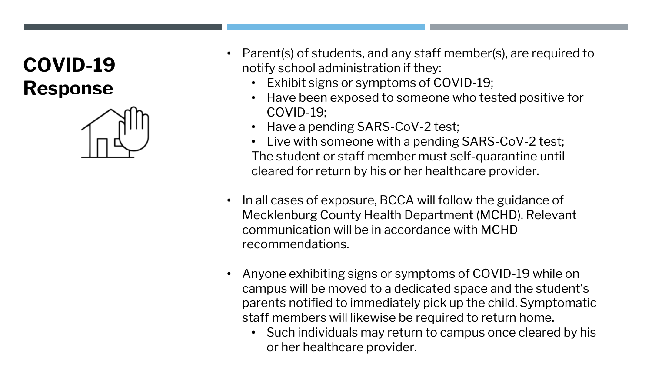# **COVID-19 Response**



- Parent(s) of students, and any staff member(s), are required to notify school administration if they:
	- Exhibit signs or symptoms of COVID-19;
	- Have been exposed to someone who tested positive for COVID-19;
	- Have a pending SARS-CoV-2 test;
	- Live with someone with a pending SARS-CoV-2 test; The student or staff member must self-quarantine until cleared for return by his or her healthcare provider.
- In all cases of exposure, BCCA will follow the guidance of Mecklenburg County Health Department (MCHD). Relevant communication will be in accordance with MCHD recommendations.
- Anyone exhibiting signs or symptoms of COVID-19 while on campus will be moved to a dedicated space and the student's parents notified to immediately pick up the child. Symptomatic staff members will likewise be required to return home.
	- Such individuals may return to campus once cleared by his or her healthcare provider.